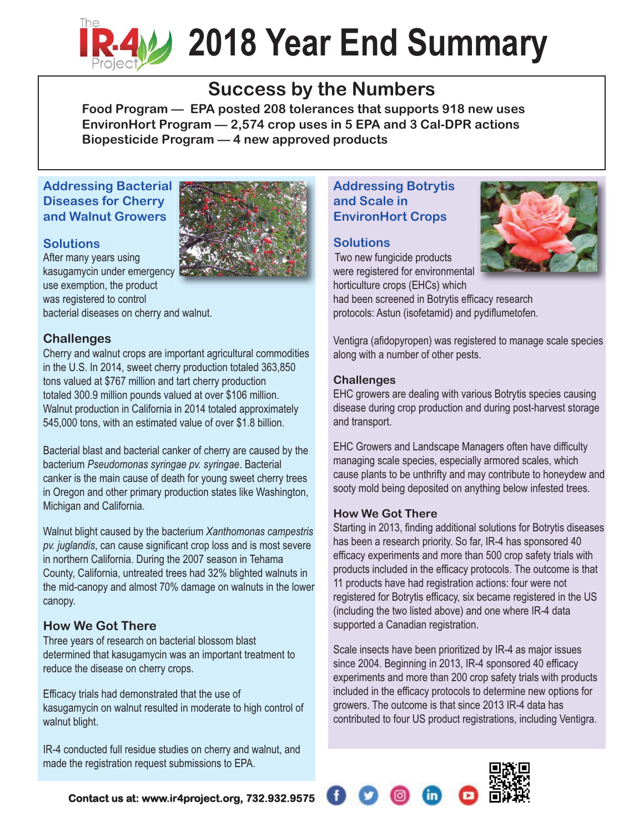

# **2018 Year End Summary**

## **Success by the Numbers**

**Food Program — EPA posted 208 tolerances that supports 918 new uses EnvironHort Program — 2,574 crop uses in 5 EPA and 3 Cal-DPR actions Biopesticide Program — 4 new approved products**

#### **Addressing Bacterial Diseases for Cherry and Walnut Growers**

#### **Solutions**

After many years using kasugamycin under emergency use exemption, the product was registered to control bacterial diseases on cherry and walnut.

#### **Challenges**

Cherry and walnut crops are important agricultural commodities in the U.S. In 2014, sweet cherry production totaled 363,850 tons valued at \$767 million and tart cherry production totaled 300.9 million pounds valued at over \$106 million. Walnut production in California in 2014 totaled approximately 545,000 tons, with an estimated value of over \$1.8 billion.

Bacterial blast and bacterial canker of cherry are caused by the bacterium *Pseudomonas syringae pv. syringae*. Bacterial canker is the main cause of death for young sweet cherry trees in Oregon and other primary production states like Washington, Michigan and California.

Walnut blight caused by the bacterium *Xanthomonas campestris pv. juglandis*, can cause significant crop loss and is most severe in northern California. During the 2007 season in Tehama County, California, untreated trees had 32% blighted walnuts in the mid-canopy and almost 70% damage on walnuts in the lower canopy.

#### **How We Got There**

Three years of research on bacterial blossom blast determined that kasugamycin was an important treatment to reduce the disease on cherry crops.

Efficacy trials had demonstrated that the use of kasugamycin on walnut resulted in moderate to high control of walnut blight.

IR-4 conducted full residue studies on cherry and walnut, and made the registration request submissions to EPA.

#### **Addressing Botrytis and Scale in EnvironHort Crops**

#### **Solutions**

Two new fungicide products were registered for environmental horticulture crops (EHCs) which



protocols: Astun (isofetamid) and pydiflumetofen.

Ventigra (afidopyropen) was registered to manage scale species along with a number of other pests.

#### **Challenges**

EHC growers are dealing with various Botrytis species causing disease during crop production and during post-harvest storage and transport.

EHC Growers and Landscape Managers often have difficulty managing scale species, especially armored scales, which cause plants to be unthrifty and may contribute to honeydew and sooty mold being deposited on anything below infested trees.

#### **How We Got There**

Starting in 2013, finding additional solutions for Botrytis diseases has been a research priority. So far, IR-4 has sponsored 40 efficacy experiments and more than 500 crop safety trials with products included in the efficacy protocols. The outcome is that 11 products have had registration actions: four were not registered for Botrytis efficacy, six became registered in the US (including the two listed above) and one where IR-4 data supported a Canadian registration.

Scale insects have been prioritized by IR-4 as major issues since 2004. Beginning in 2013, IR-4 sponsored 40 efficacy experiments and more than 200 crop safety trials with products included in the efficacy protocols to determine new options for growers. The outcome is that since 2013 IR-4 data has contributed to four US product registrations, including Ventigra.



**Contact us at: www.ir4project.org, 732.932.9575**